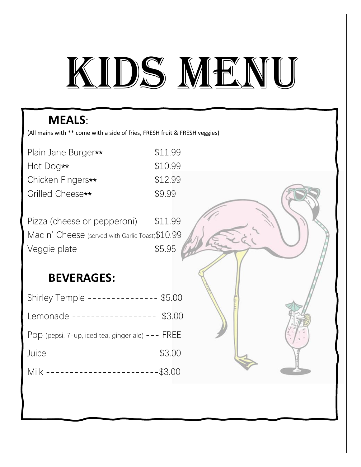# KIDS MENU

## **MEALS**:

(All mains with \*\* come with a side of fries, FRESH fruit & FRESH veggies)

| Plain Jane Burger** | \$11.99 |
|---------------------|---------|
| Hot Dog**           | \$10.99 |
| Chicken Fingers**   | \$12.99 |
| Grilled Cheese**    | \$9.99  |

Pizza (cheese or pepperoni) \$11.99 Mac n' Cheese (served with Garlic Toast) \$10.99 Veggie plate  $$5.95$ 

### **BEVERAGES:**

| Shirley Temple -------------- \$5.00               |  |
|----------------------------------------------------|--|
| Lemonade ----------------- \$3.00                  |  |
| POD (pepsi, 7-up, iced tea, ginger ale) $---$ FREE |  |
| Juice ---------------------- \$3.00                |  |
| Milk -------------------------\$3.00               |  |